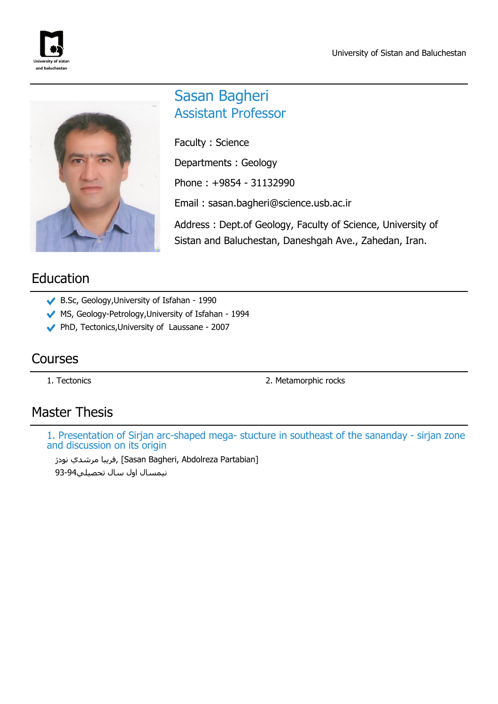



# Sasan Bagheri Assistant Professor

Faculty : Science Departments : Geology Phone : +9854 - 31132990 Email : sasan.bagheri@science.usb.ac.ir Address : Dept.of Geology, Faculty of Science, University of

Sistan and Baluchestan, Daneshgah Ave., Zahedan, Iran.

# Education

- B.Sc, Geology,University of Isfahan 1990
- MS, Geology-Petrology, University of Isfahan 1994
- PhD, Tectonics,University of Laussane 2007

## Courses

1. Tectonics 2. Metamorphic rocks

## Master Thesis

1. Presentation of Sirjan arc-shaped mega- stucture in southeast of the sananday - sirjan zone and discussion on its origin

فريبا مرشدي نودژ [Sasan Bagheri, Abdolreza Partabian] نيمسال اول سال تحصيلي93-94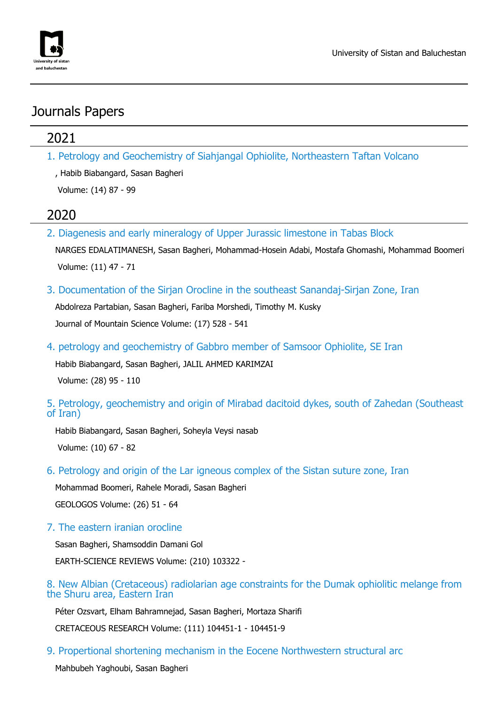

## Journals Papers

## 2021

1. Petrology and Geochemistry of Siahjangal Ophiolite, Northeastern Taftan Volcano

, Habib Biabangard, Sasan Bagheri

Volume: (14) 87 - 99

## 2020

2. Diagenesis and early mineralogy of Upper Jurassic limestone in Tabas Block

NARGES EDALATIMANESH, Sasan Bagheri, Mohammad-Hosein Adabi, Mostafa Ghomashi, Mohammad Boomeri Volume: (11) 47 - 71

3. Documentation of the Sirjan Orocline in the southeast Sanandaj-Sirjan Zone, Iran

Abdolreza Partabian, Sasan Bagheri, Fariba Morshedi, Timothy M. Kusky Journal of Mountain Science Volume: (17) 528 - 541

4. petrology and geochemistry of Gabbro member of Samsoor Ophiolite, SE Iran

Habib Biabangard, Sasan Bagheri, JALIL AHMED KARIMZAI Volume: (28) 95 - 110

5. Petrology, geochemistry and origin of Mirabad dacitoid dykes, south of Zahedan (Southeast of Iran)

Habib Biabangard, Sasan Bagheri, Soheyla Veysi nasab Volume: (10) 67 - 82

6. Petrology and origin of the Lar igneous complex of the Sistan suture zone, Iran

Mohammad Boomeri, Rahele Moradi, Sasan Bagheri GEOLOGOS Volume: (26) 51 - 64

7. The eastern iranian orocline

Sasan Bagheri, Shamsoddin Damani Gol EARTH-SCIENCE REVIEWS Volume: (210) 103322 -

#### 8. New Albian (Cretaceous) radiolarian age constraints for the Dumak ophiolitic melange from the Shuru area, Eastern Iran

Péter Ozsvart, Elham Bahramnejad, Sasan Bagheri, Mortaza Sharifi

CRETACEOUS RESEARCH Volume: (111) 104451-1 - 104451-9

9. Propertional shortening mechanism in the Eocene Northwestern structural arc

Mahbubeh Yaghoubi, Sasan Bagheri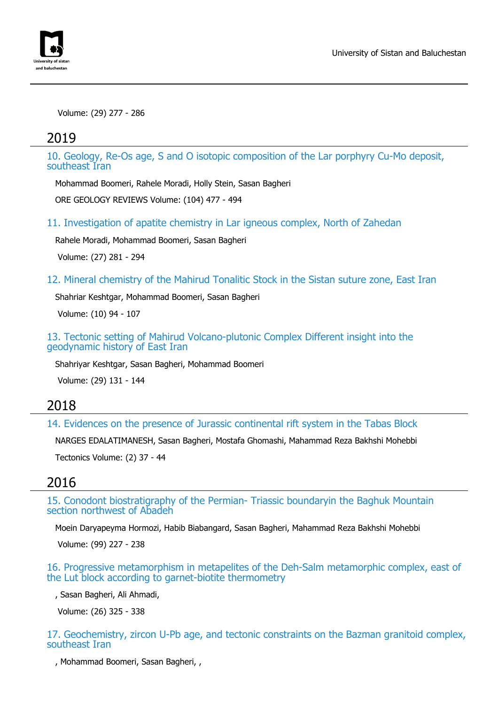

Volume: (29) 277 - 286

#### 2019

10. Geology, Re-Os age, S and O isotopic composition of the Lar porphyry Cu-Mo deposit, southeast Iran

Mohammad Boomeri, Rahele Moradi, Holly Stein, Sasan Bagheri

ORE GEOLOGY REVIEWS Volume: (104) 477 - 494

11. Investigation of apatite chemistry in Lar igneous complex, North of Zahedan

Rahele Moradi, Mohammad Boomeri, Sasan Bagheri

Volume: (27) 281 - 294

12. Mineral chemistry of the Mahirud Tonalitic Stock in the Sistan suture zone, East Iran

Shahriar Keshtgar, Mohammad Boomeri, Sasan Bagheri

Volume: (10) 94 - 107

13. Tectonic setting of Mahirud Volcano-plutonic Complex Different insight into the geodynamic history of East Iran

Shahriyar Keshtgar, Sasan Bagheri, Mohammad Boomeri

Volume: (29) 131 - 144

#### 2018

14. Evidences on the presence of Jurassic continental rift system in the Tabas Block

NARGES EDALATIMANESH, Sasan Bagheri, Mostafa Ghomashi, Mahammad Reza Bakhshi Mohebbi

Tectonics Volume: (2) 37 - 44

### 2016

15. Conodont biostratigraphy of the Permian- Triassic boundaryin the Baghuk Mountain section northwest of Abadeh

Moein Daryapeyma Hormozi, Habib Biabangard, Sasan Bagheri, Mahammad Reza Bakhshi Mohebbi

Volume: (99) 227 - 238

16. Progressive metamorphism in metapelites of the Deh-Salm metamorphic complex, east of the Lut block according to garnet-biotite thermometry

, Sasan Bagheri, Ali Ahmadi,

Volume: (26) 325 - 338

17. Geochemistry, zircon U-Pb age, and tectonic constraints on the Bazman granitoid complex, southeast Iran

, Mohammad Boomeri, Sasan Bagheri, ,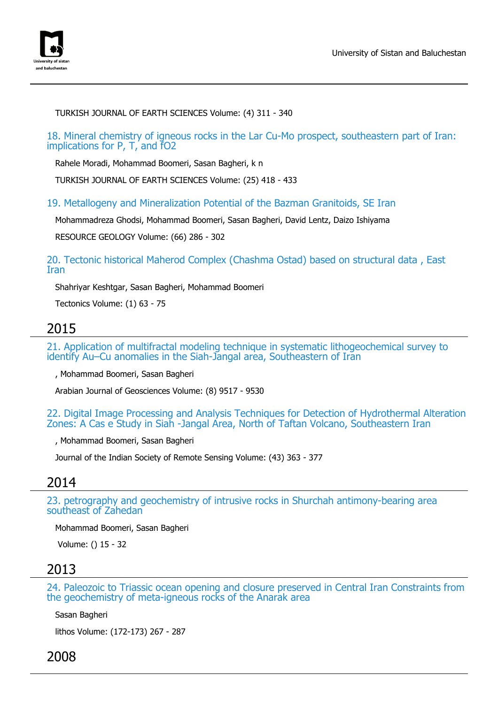

TURKISH JOURNAL OF EARTH SCIENCES Volume: (4) 311 - 340

18. Mineral chemistry of igneous rocks in the Lar Cu-Mo prospect, southeastern part of Iran: implications for P, T, and fO2

Rahele Moradi, Mohammad Boomeri, Sasan Bagheri, k n

TURKISH JOURNAL OF EARTH SCIENCES Volume: (25) 418 - 433

19. Metallogeny and Mineralization Potential of the Bazman Granitoids, SE Iran

Mohammadreza Ghodsi, Mohammad Boomeri, Sasan Bagheri, David Lentz, Daizo Ishiyama

RESOURCE GEOLOGY Volume: (66) 286 - 302

20. Tectonic historical Maherod Complex (Chashma Ostad) based on structural data , East Iran

Shahriyar Keshtgar, Sasan Bagheri, Mohammad Boomeri

Tectonics Volume: (1) 63 - 75

#### 2015

21. Application of multifractal modeling technique in systematic lithogeochemical survey to identify Au–Cu anomalies in the Siah-Jangal area, Southeastern of Iran

, Mohammad Boomeri, Sasan Bagheri

Arabian Journal of Geosciences Volume: (8) 9517 - 9530

22. Digital Image Processing and Analysis Techniques for Detection of Hydrothermal Alteration Zones: A Cas e Study in Siah -Jangal Area, North of Taftan Volcano, Southeastern Iran

, Mohammad Boomeri, Sasan Bagheri

Journal of the Indian Society of Remote Sensing Volume: (43) 363 - 377

### 2014

23. petrography and geochemistry of intrusive rocks in Shurchah antimony-bearing area southeast of Zahedan

Mohammad Boomeri, Sasan Bagheri

Volume: () 15 - 32

### 2013

24. Paleozoic to Triassic ocean opening and closure preserved in Central Iran Constraints from the geochemistry of meta-igneous rocks of the Anarak area

Sasan Bagheri

lithos Volume: (172-173) 267 - 287

2008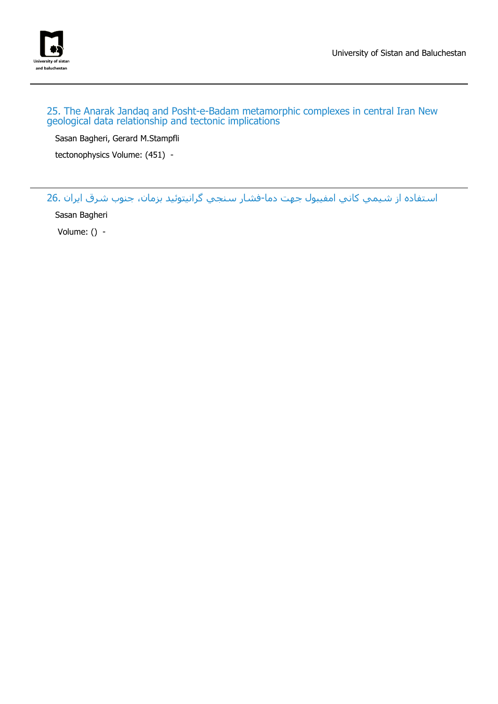

#### 25. The Anarak Jandaq and Posht-e-Badam metamorphic complexes in central Iran New geological data relationship and tectonic implications

Sasan Bagheri, Gerard M.Stampfli

tectonophysics Volume: (451) -

استفاده از شيمي كاني امفيبول جهت دما-فشار سنجي گرانيتوئيد بزمان، جنوب شرق ايران 26.

Sasan Bagheri

Volume: () -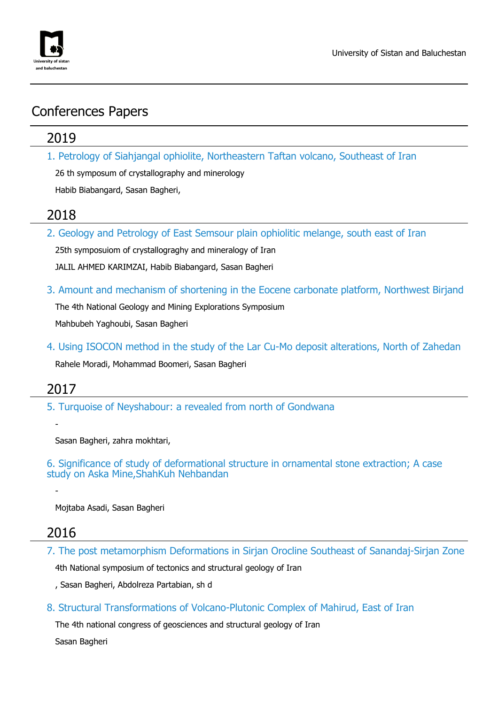

## Conferences Papers

### 2019

1. Petrology of Siahjangal ophiolite, Northeastern Taftan volcano, Southeast of Iran

26 th symposum of crystallography and minerology

Habib Biabangard, Sasan Bagheri,

### 2018

2. Geology and Petrology of East Semsour plain ophiolitic melange, south east of Iran

25th symposuiom of crystallograghy and mineralogy of Iran JALIL AHMED KARIMZAI, Habib Biabangard, Sasan Bagheri

3. Amount and mechanism of shortening in the Eocene carbonate platform, Northwest Birjand

The 4th National Geology and Mining Explorations Symposium Mahbubeh Yaghoubi, Sasan Bagheri

4. Using ISOCON method in the study of the Lar Cu-Mo deposit alterations, North of Zahedan Rahele Moradi, Mohammad Boomeri, Sasan Bagheri

## 2017

-

-

5. Turquoise of Neyshabour: a revealed from north of Gondwana

Sasan Bagheri, zahra mokhtari,

6. Significance of study of deformational structure in ornamental stone extraction; A case study on Aska Mine,ShahKuh Nehbandan

Mojtaba Asadi, Sasan Bagheri

## 2016

7. The post metamorphism Deformations in Sirjan Orocline Southeast of Sanandaj-Sirjan Zone

4th National symposium of tectonics and structural geology of Iran

, Sasan Bagheri, Abdolreza Partabian, sh d

8. Structural Transformations of Volcano-Plutonic Complex of Mahirud, East of Iran

The 4th national congress of geosciences and structural geology of Iran Sasan Bagheri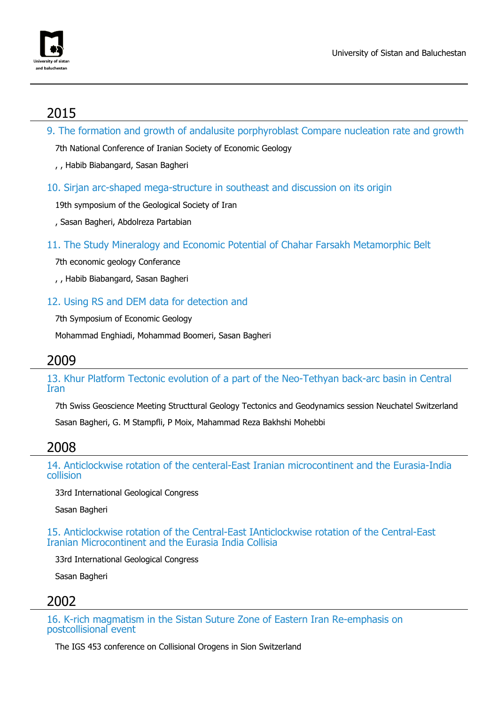

## 2015

9. The formation and growth of andalusite porphyroblast Compare nucleation rate and growth

7th National Conference of Iranian Society of Economic Geology

- , , Habib Biabangard, Sasan Bagheri
- 10. Sirian arc-shaped mega-structure in southeast and discussion on its origin

19th symposium of the Geological Society of Iran

- , Sasan Bagheri, Abdolreza Partabian
- 11. The Study Mineralogy and Economic Potential of Chahar Farsakh Metamorphic Belt

7th economic geology Conferance

, , Habib Biabangard, Sasan Bagheri

12. Using RS and DEM data for detection and

7th Symposium of Economic Geology

Mohammad Enghiadi, Mohammad Boomeri, Sasan Bagheri

### 2009

13. Khur Platform Tectonic evolution of a part of the Neo-Tethyan back-arc basin in Central Iran

7th Swiss Geoscience Meeting Structtural Geology Tectonics and Geodynamics session Neuchatel Switzerland Sasan Bagheri, G. M Stampfli, P Moix, Mahammad Reza Bakhshi Mohebbi

## 2008

14. Anticlockwise rotation of the centeral-East Iranian microcontinent and the Eurasia-India collision

33rd International Geological Congress

Sasan Bagheri

15. Anticlockwise rotation of the Central-East IAnticlockwise rotation of the Central-East Iranian Microcontinent and the Eurasia India Collisia

33rd International Geological Congress

Sasan Bagheri

## 2002

16. K-rich magmatism in the Sistan Suture Zone of Eastern Iran Re-emphasis on postcollisional event

The IGS 453 conference on Collisional Orogens in Sion Switzerland